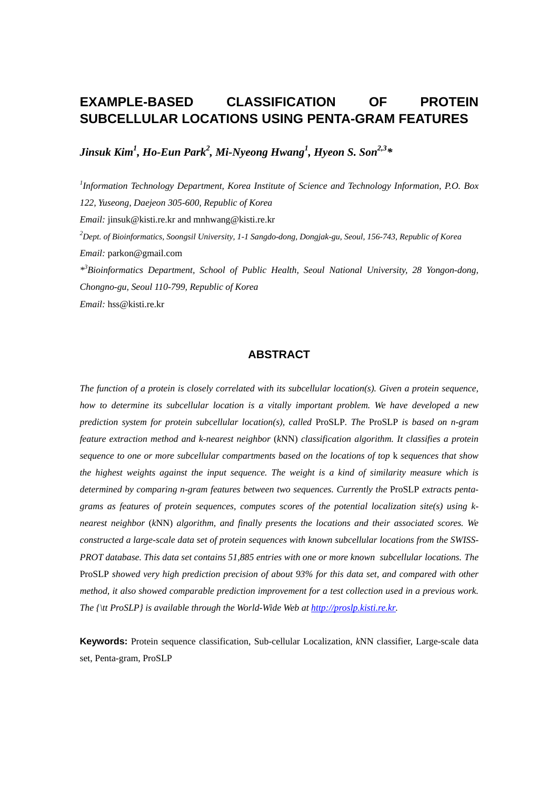# **EXAMPLE-BASED CLASSIFICATION OF PROTEIN SUBCELLULAR LOCATIONS USING PENTA-GRAM FEATURES**

*Jinsuk Kim<sup>1</sup> , Ho-Eun Park2 , Mi-Nyeong Hwang1 , Hyeon S. Son2,3\** 

*1 Information Technology Department, Korea Institute of Science and Technology Information, P.O. Box 122, Yuseong, Daejeon 305-600, Republic of Korea Email:* jinsuk@kisti.re.kr and mnhwang@kisti.re.kr *2 Dept. of Bioinformatics, Soongsil University, 1-1 Sangdo-dong, Dongjak-gu, Seoul, 156-743, Republic of Korea Email:* parkon@gmail.com *\*3 Bioinformatics Department, School of Public Health, Seoul National University, 28 Yongon-dong, Chongno-gu, Seoul 110-799, Republic of Korea Email:* hss@kisti.re.kr

# **ABSTRACT**

*The function of a protein is closely correlated with its subcellular location(s). Given a protein sequence, how to determine its subcellular location is a vitally important problem. We have developed a new prediction system for protein subcellular location(s), called* ProSLP*. The* ProSLP *is based on n-gram feature extraction method and k-nearest neighbor* (*k*NN) *classification algorithm. It classifies a protein sequence to one or more subcellular compartments based on the locations of top* k *sequences that show the highest weights against the input sequence. The weight is a kind of similarity measure which is determined by comparing n-gram features between two sequences. Currently the* ProSLP *extracts pentagrams as features of protein sequences, computes scores of the potential localization site(s) using knearest neighbor* (*k*NN) *algorithm, and finally presents the locations and their associated scores. We constructed a large-scale data set of protein sequences with known subcellular locations from the SWISS-PROT database. This data set contains 51,885 entries with one or more known subcellular locations. The*  ProSLP *showed very high prediction precision of about 93% for this data set, and compared with other method, it also showed comparable prediction improvement for a test collection used in a previous work. The {\tt ProSLP} is available through the World-Wide Web at http://proslp.kisti.re.kr.* 

**Keywords:** Protein sequence classification, Sub-cellular Localization, *k*NN classifier, Large-scale data set, Penta-gram, ProSLP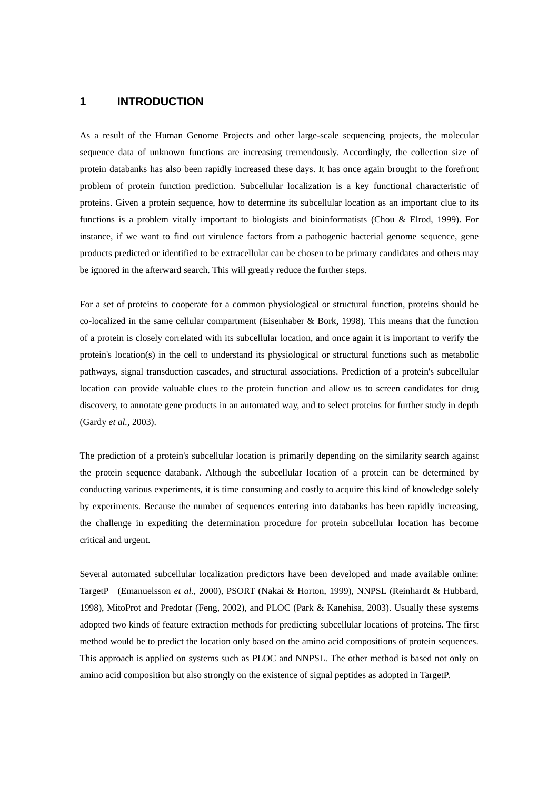### **1 INTRODUCTION**

As a result of the Human Genome Projects and other large-scale sequencing projects, the molecular sequence data of unknown functions are increasing tremendously. Accordingly, the collection size of protein databanks has also been rapidly increased these days. It has once again brought to the forefront problem of protein function prediction. Subcellular localization is a key functional characteristic of proteins. Given a protein sequence, how to determine its subcellular location as an important clue to its functions is a problem vitally important to biologists and bioinformatists (Chou & Elrod, 1999). For instance, if we want to find out virulence factors from a pathogenic bacterial genome sequence, gene products predicted or identified to be extracellular can be chosen to be primary candidates and others may be ignored in the afterward search. This will greatly reduce the further steps.

For a set of proteins to cooperate for a common physiological or structural function, proteins should be co-localized in the same cellular compartment (Eisenhaber & Bork, 1998). This means that the function of a protein is closely correlated with its subcellular location, and once again it is important to verify the protein's location(s) in the cell to understand its physiological or structural functions such as metabolic pathways, signal transduction cascades, and structural associations. Prediction of a protein's subcellular location can provide valuable clues to the protein function and allow us to screen candidates for drug discovery, to annotate gene products in an automated way, and to select proteins for further study in depth (Gardy *et al.*, 2003).

The prediction of a protein's subcellular location is primarily depending on the similarity search against the protein sequence databank. Although the subcellular location of a protein can be determined by conducting various experiments, it is time consuming and costly to acquire this kind of knowledge solely by experiments. Because the number of sequences entering into databanks has been rapidly increasing, the challenge in expediting the determination procedure for protein subcellular location has become critical and urgent.

Several automated subcellular localization predictors have been developed and made available online: TargetP (Emanuelsson *et al.*, 2000), PSORT (Nakai & Horton, 1999), NNPSL (Reinhardt & Hubbard, 1998), MitoProt and Predotar (Feng, 2002), and PLOC (Park & Kanehisa, 2003). Usually these systems adopted two kinds of feature extraction methods for predicting subcellular locations of proteins. The first method would be to predict the location only based on the amino acid compositions of protein sequences. This approach is applied on systems such as PLOC and NNPSL. The other method is based not only on amino acid composition but also strongly on the existence of signal peptides as adopted in TargetP.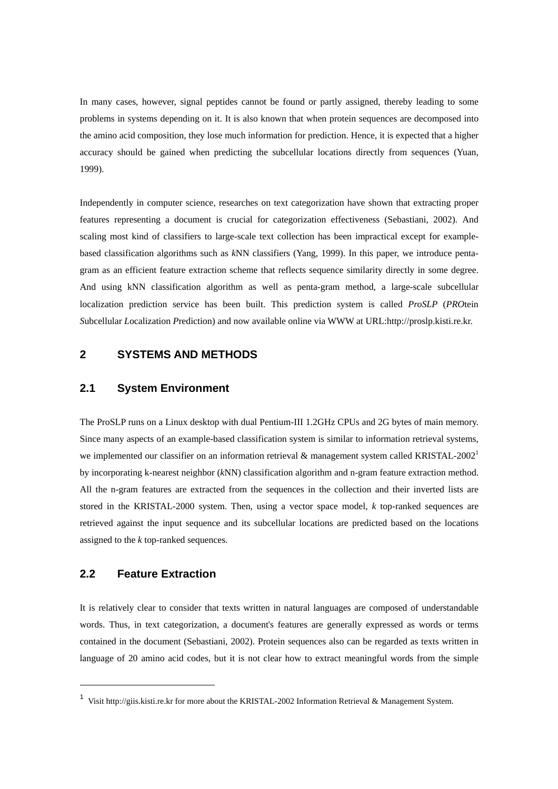In many cases, however, signal peptides cannot be found or partly assigned, thereby leading to some problems in systems depending on it. It is also known that when protein sequences are decomposed into the amino acid composition, they lose much information for prediction. Hence, it is expected that a higher accuracy should be gained when predicting the subcellular locations directly from sequences (Yuan, 1999).

Independently in computer science, researches on text categorization have shown that extracting proper features representing a document is crucial for categorization effectiveness (Sebastiani, 2002). And scaling most kind of classifiers to large-scale text collection has been impractical except for examplebased classification algorithms such as *k*NN classifiers (Yang, 1999). In this paper, we introduce pentagram as an efficient feature extraction scheme that reflects sequence similarity directly in some degree. And using kNN classification algorithm as well as penta-gram method, a large-scale subcellular localization prediction service has been built. This prediction system is called *ProSLP* (*PRO*tein *S*ubcellular *L*ocalization *P*rediction) and now available online via WWW at URL:http://proslp.kisti.re.kr.

# **2 SYSTEMS AND METHODS**

### **2.1 System Environment**

The ProSLP runs on a Linux desktop with dual Pentium-III 1.2GHz CPUs and 2G bytes of main memory. Since many aspects of an example-based classification system is similar to information retrieval systems, we implemented our classifier on an information retrieval & management system called KRISTAL-2002<sup>1</sup> by incorporating k-nearest neighbor (*k*NN) classification algorithm and n-gram feature extraction method. All the n-gram features are extracted from the sequences in the collection and their inverted lists are stored in the KRISTAL-2000 system. Then, using a vector space model, *k* top-ranked sequences are retrieved against the input sequence and its subcellular locations are predicted based on the locations assigned to the *k* top-ranked sequences.

### **2.2 Feature Extraction**

It is relatively clear to consider that texts written in natural languages are composed of understandable words. Thus, in text categorization, a document's features are generally expressed as words or terms contained in the document (Sebastiani, 2002). Protein sequences also can be regarded as texts written in language of 20 amino acid codes, but it is not clear how to extract meaningful words from the simple

<sup>1</sup> Visit http://giis.kisti.re.kr for more about the KRISTAL-2002 Information Retrieval & Management System.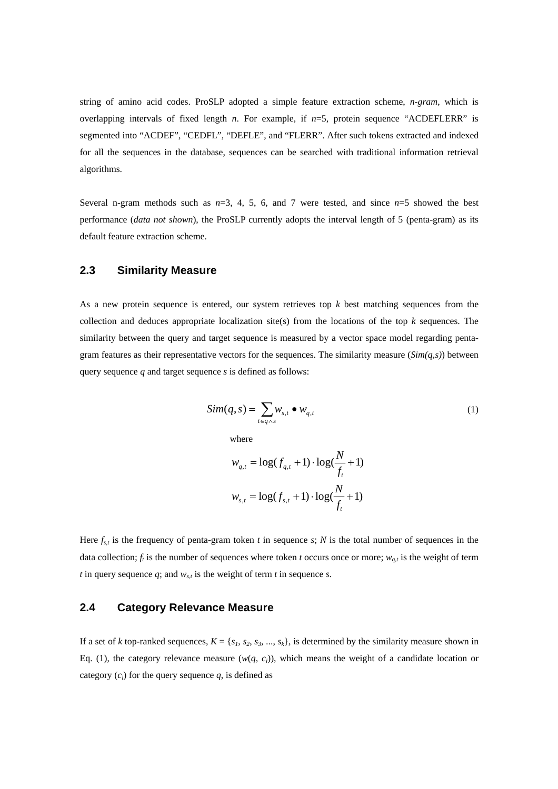string of amino acid codes. ProSLP adopted a simple feature extraction scheme, *n-gram*, which is overlapping intervals of fixed length *n*. For example, if *n*=5, protein sequence "ACDEFLERR" is segmented into "ACDEF", "CEDFL", "DEFLE", and "FLERR". After such tokens extracted and indexed for all the sequences in the database, sequences can be searched with traditional information retrieval algorithms.

Several n-gram methods such as  $n=3$ , 4, 5, 6, and 7 were tested, and since  $n=5$  showed the best performance (*data not shown*), the ProSLP currently adopts the interval length of 5 (penta-gram) as its default feature extraction scheme.

### **2.3 Similarity Measure**

As a new protein sequence is entered, our system retrieves top *k* best matching sequences from the collection and deduces appropriate localization site(s) from the locations of the top *k* sequences. The similarity between the query and target sequence is measured by a vector space model regarding pentagram features as their representative vectors for the sequences. The similarity measure (*Sim(q,s)*) between query sequence *q* and target sequence *s* is defined as follows:

$$
Sim(q, s) = \sum_{t \in q \wedge s} w_{s,t} \bullet w_{q,t} \tag{1}
$$

where

$$
w_{q,t} = \log(f_{q,t} + 1) \cdot \log(\frac{N}{f_t} + 1)
$$

$$
w_{s,t} = \log(f_{s,t} + 1) \cdot \log(\frac{N}{f_t} + 1)
$$

Here  $f_{s,t}$  is the frequency of penta-gram token *t* in sequence *s*; *N* is the total number of sequences in the data collection;  $f_t$  is the number of sequences where token *t* occurs once or more;  $w_{a,t}$  is the weight of term *t* in query sequence  $q$ ; and  $w_{s,t}$  is the weight of term *t* in sequence *s*.

### **2.4 Category Relevance Measure**

If a set of *k* top-ranked sequences,  $K = \{s_1, s_2, s_3, ..., s_k\}$ , is determined by the similarity measure shown in Eq. (1), the category relevance measure  $(w(q, c_i))$ , which means the weight of a candidate location or category  $(c_i)$  for the query sequence  $q$ , is defined as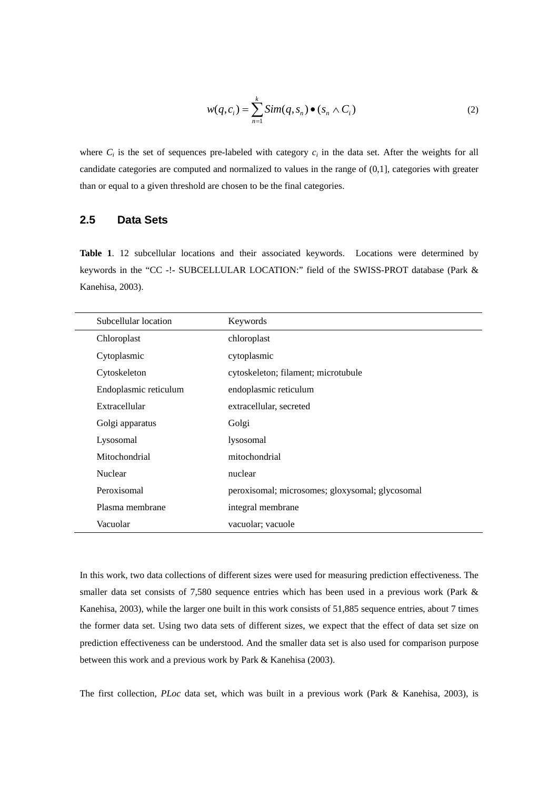$$
w(q, c_i) = \sum_{n=1}^{k} Sim(q, s_n) \bullet (s_n \wedge C_i)
$$
 (2)

where  $C_i$  is the set of sequences pre-labeled with category  $c_i$  in the data set. After the weights for all candidate categories are computed and normalized to values in the range of (0,1], categories with greater than or equal to a given threshold are chosen to be the final categories.

# **2.5 Data Sets**

**Table 1**. 12 subcellular locations and their associated keywords. Locations were determined by keywords in the "CC -!- SUBCELLULAR LOCATION:" field of the SWISS-PROT database (Park & Kanehisa, 2003).

| Subcellular location  | Keywords                                        |
|-----------------------|-------------------------------------------------|
| Chloroplast           | chloroplast                                     |
| Cytoplasmic           | cytoplasmic                                     |
| Cytoskeleton          | cytoskeleton; filament; microtubule             |
| Endoplasmic reticulum | endoplasmic reticulum                           |
| Extracellular         | extracellular, secreted                         |
| Golgi apparatus       | Golgi                                           |
| Lysosomal             | lysosomal                                       |
| Mitochondrial         | mitochondrial                                   |
| Nuclear               | nuclear                                         |
| Peroxisomal           | peroxisomal; microsomes; gloxysomal; glycosomal |
| Plasma membrane       | integral membrane                               |
| Vacuolar              | vacuolar; vacuole                               |

In this work, two data collections of different sizes were used for measuring prediction effectiveness. The smaller data set consists of 7,580 sequence entries which has been used in a previous work (Park & Kanehisa, 2003), while the larger one built in this work consists of 51,885 sequence entries, about 7 times the former data set. Using two data sets of different sizes, we expect that the effect of data set size on prediction effectiveness can be understood. And the smaller data set is also used for comparison purpose between this work and a previous work by Park & Kanehisa (2003).

The first collection, *PLoc* data set, which was built in a previous work (Park & Kanehisa, 2003), is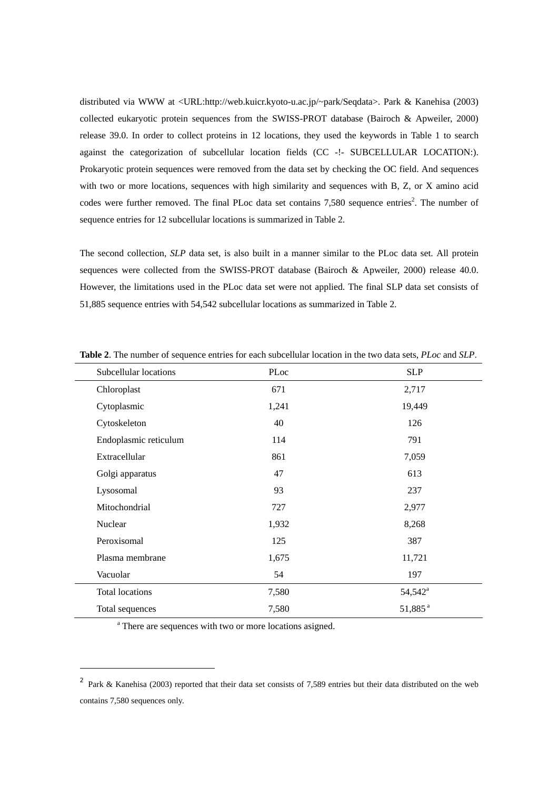distributed via WWW at <URL:http://web.kuicr.kyoto-u.ac.jp/~park/Seqdata>. Park & Kanehisa (2003) collected eukaryotic protein sequences from the SWISS-PROT database (Bairoch & Apweiler, 2000) release 39.0. In order to collect proteins in 12 locations, they used the keywords in Table 1 to search against the categorization of subcellular location fields (CC -!- SUBCELLULAR LOCATION:). Prokaryotic protein sequences were removed from the data set by checking the OC field. And sequences with two or more locations, sequences with high similarity and sequences with B, Z, or X amino acid codes were further removed. The final PLoc data set contains  $7,580$  sequence entries<sup>2</sup>. The number of sequence entries for 12 subcellular locations is summarized in Table 2.

The second collection, *SLP* data set, is also built in a manner similar to the PLoc data set. All protein sequences were collected from the SWISS-PROT database (Bairoch & Apweiler, 2000) release 40.0. However, the limitations used in the PLoc data set were not applied. The final SLP data set consists of 51,885 sequence entries with 54,542 subcellular locations as summarized in Table 2.

| Subcellular locations  | PLoc  | <b>SLP</b>          |
|------------------------|-------|---------------------|
| Chloroplast            | 671   | 2,717               |
| Cytoplasmic            | 1,241 | 19,449              |
| Cytoskeleton           | 40    | 126                 |
| Endoplasmic reticulum  | 114   | 791                 |
| Extracellular          | 861   | 7,059               |
| Golgi apparatus        | 47    | 613                 |
| Lysosomal              | 93    | 237                 |
| Mitochondrial          | 727   | 2,977               |
| Nuclear                | 1,932 | 8,268               |
| Peroxisomal            | 125   | 387                 |
| Plasma membrane        | 1,675 | 11,721              |
| Vacuolar               | 54    | 197                 |
| <b>Total locations</b> | 7,580 | 54,542 <sup>a</sup> |
| Total sequences        | 7,580 | 51,885 <sup>a</sup> |

**Table 2**. The number of sequence entries for each subcellular location in the two data sets, *PLoc* and *SLP*.

<sup>a</sup> There are sequences with two or more locations asigned.

<sup>2</sup> Park & Kanehisa (2003) reported that their data set consists of 7,589 entries but their data distributed on the web contains 7,580 sequences only.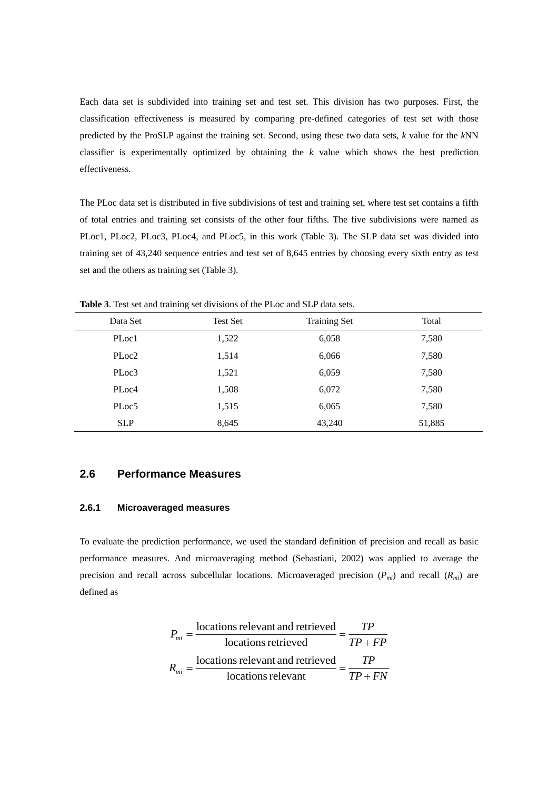Each data set is subdivided into training set and test set. This division has two purposes. First, the classification effectiveness is measured by comparing pre-defined categories of test set with those predicted by the ProSLP against the training set. Second, using these two data sets, *k* value for the *k*NN classifier is experimentally optimized by obtaining the *k* value which shows the best prediction effectiveness.

The PLoc data set is distributed in five subdivisions of test and training set, where test set contains a fifth of total entries and training set consists of the other four fifths. The five subdivisions were named as PLoc1, PLoc2, PLoc3, PLoc4, and PLoc5, in this work (Table 3). The SLP data set was divided into training set of 43,240 sequence entries and test set of 8,645 entries by choosing every sixth entry as test set and the others as training set (Table 3).

| Data Set          | Test Set | <b>Training Set</b> | Total  |
|-------------------|----------|---------------------|--------|
| PLoc1             | 1,522    | 6,058               | 7,580  |
| PLoc <sub>2</sub> | 1,514    | 6,066               | 7,580  |
| PLoc3             | 1,521    | 6,059               | 7,580  |
| PLoc4             | 1,508    | 6,072               | 7,580  |
| PLoc5             | 1,515    | 6,065               | 7,580  |
| <b>SLP</b>        | 8,645    | 43,240              | 51,885 |

**Table 3**. Test set and training set divisions of the PLoc and SLP data sets.

### **2.6 Performance Measures**

### **2.6.1 Microaveraged measures**

To evaluate the prediction performance, we used the standard definition of precision and recall as basic performance measures. And microaveraging method (Sebastiani, 2002) was applied to average the precision and recall across subcellular locations. Microaveraged precision (*Pmi*) and recall (*Rmi*) are defined as

$$
P_{mi} = \frac{\text{locations relevant and retrieved}}{\text{locations retrieved}} = \frac{TP}{TP + FP}
$$

$$
R_{mi} = \frac{\text{locations relevant and retrieved}}{\text{locations relevant}} = \frac{TP}{TP + FN}
$$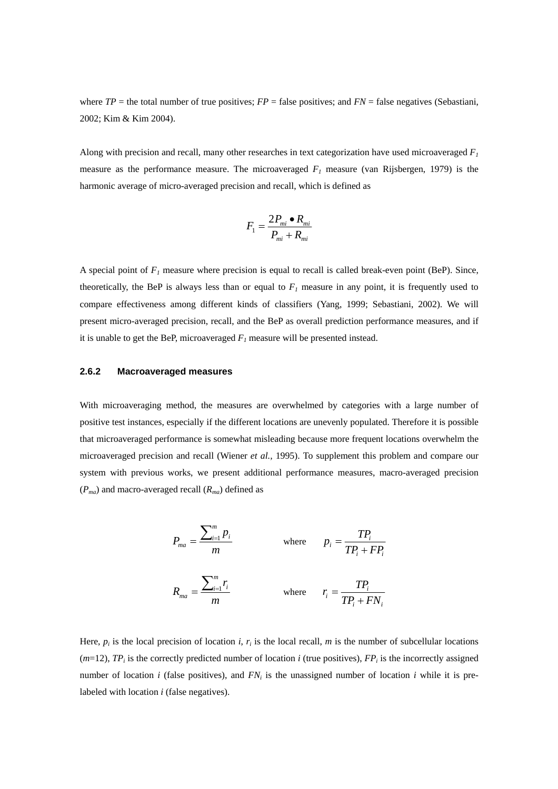where  $TP =$  the total number of true positives;  $FP =$  false positives; and  $FN =$  false negatives (Sebastiani, 2002; Kim & Kim 2004).

Along with precision and recall, many other researches in text categorization have used microaveraged  $F<sub>1</sub>$ measure as the performance measure. The microaveraged  $F<sub>1</sub>$  measure (van Rijsbergen, 1979) is the harmonic average of micro-averaged precision and recall, which is defined as

$$
F_1 = \frac{2P_{mi} \bullet R_{mi}}{P_{mi} + R_{mi}}
$$

A special point of  $F_1$  measure where precision is equal to recall is called break-even point (BeP). Since, theoretically, the BeP is always less than or equal to  $F_I$  measure in any point, it is frequently used to compare effectiveness among different kinds of classifiers (Yang, 1999; Sebastiani, 2002). We will present micro-averaged precision, recall, and the BeP as overall prediction performance measures, and if it is unable to get the BeP, microaveraged  $F_l$  measure will be presented instead.

#### **2.6.2 Macroaveraged measures**

With microaveraging method, the measures are overwhelmed by categories with a large number of positive test instances, especially if the different locations are unevenly populated. Therefore it is possible that microaveraged performance is somewhat misleading because more frequent locations overwhelm the microaveraged precision and recall (Wiener *et al.,* 1995). To supplement this problem and compare our system with previous works, we present additional performance measures, macro-averaged precision  $(P_{ma})$  and macro-averaged recall  $(R_{ma})$  defined as

$$
P_{ma} = \frac{\sum_{i=1}^{m} p_i}{m}
$$
 where  $p_i = \frac{TP_i}{TP_i + FP_i}$   

$$
R_{ma} = \frac{\sum_{i=1}^{m} r_i}{m}
$$
 where  $r_i = \frac{TP_i}{TP_i + FN_i}$ 

Here,  $p_i$  is the local precision of location *i*,  $r_i$  is the local recall, *m* is the number of subcellular locations  $(m=12)$ ,  $TP_i$  is the correctly predicted number of location *i* (true positives),  $FP_i$  is the incorrectly assigned number of location *i* (false positives), and  $FN_i$  is the unassigned number of location *i* while it is prelabeled with location *i* (false negatives).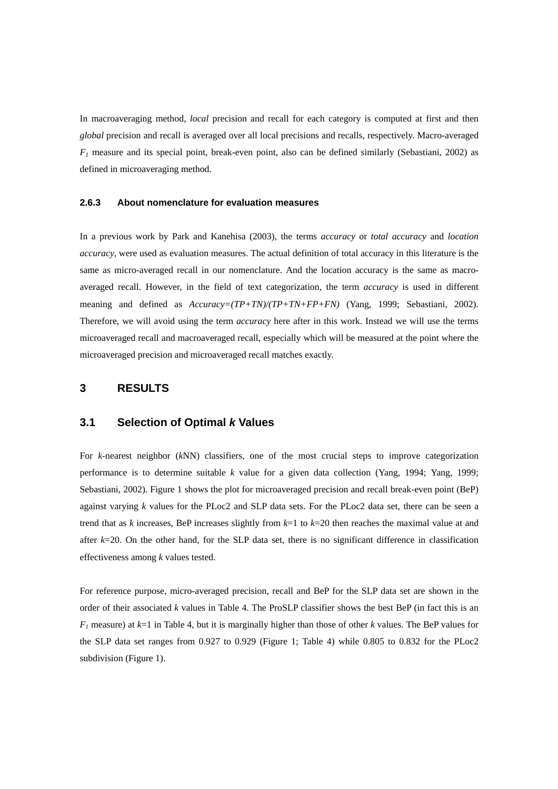In macroaveraging method, *local* precision and recall for each category is computed at first and then *global* precision and recall is averaged over all local precisions and recalls, respectively. Macro-averaged  $F_l$  measure and its special point, break-even point, also can be defined similarly (Sebastiani, 2002) as defined in microaveraging method.

#### **2.6.3 About nomenclature for evaluation measures**

In a previous work by Park and Kanehisa (2003), the terms *accuracy* or *total accuracy* and *location accuracy*, were used as evaluation measures. The actual definition of total accuracy in this literature is the same as micro-averaged recall in our nomenclature. And the location accuracy is the same as macroaveraged recall. However, in the field of text categorization, the term *accuracy* is used in different meaning and defined as *Accuracy=(TP+TN)/(TP+TN+FP+FN)* (Yang, 1999; Sebastiani, 2002). Therefore, we will avoid using the term *accuracy* here after in this work. Instead we will use the terms microaveraged recall and macroaveraged recall, especially which will be measured at the point where the microaveraged precision and microaveraged recall matches exactly.

### **3 RESULTS**

#### **3.1 Selection of Optimal** *k* **Values**

For *k*-nearest neighbor (*k*NN) classifiers, one of the most crucial steps to improve categorization performance is to determine suitable *k* value for a given data collection (Yang, 1994; Yang, 1999; Sebastiani, 2002). Figure 1 shows the plot for microaveraged precision and recall break-even point (BeP) against varying *k* values for the PLoc2 and SLP data sets. For the PLoc2 data set, there can be seen a trend that as *k* increases, BeP increases slightly from *k*=1 to *k*=20 then reaches the maximal value at and after *k*=20. On the other hand, for the SLP data set, there is no significant difference in classification effectiveness among *k* values tested.

For reference purpose, micro-averaged precision, recall and BeP for the SLP data set are shown in the order of their associated *k* values in Table 4. The ProSLP classifier shows the best BeP (in fact this is an  $F_l$  measure) at  $k=1$  in Table 4, but it is marginally higher than those of other *k* values. The BeP values for the SLP data set ranges from 0.927 to 0.929 (Figure 1; Table 4) while 0.805 to 0.832 for the PLoc2 subdivision (Figure 1).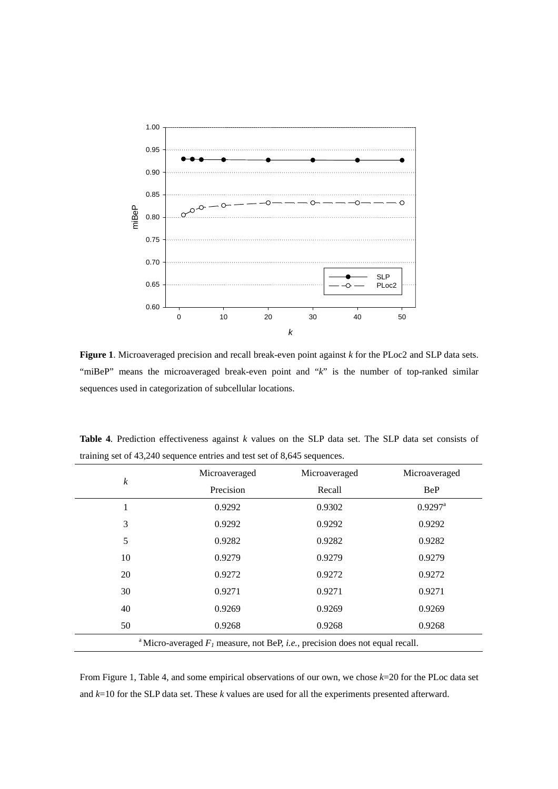

**Figure 1**. Microaveraged precision and recall break-even point against *k* for the PLoc2 and SLP data sets. "miBeP" means the microaveraged break-even point and "*k*" is the number of top-ranked similar sequences used in categorization of subcellular locations.

|                                                                                                    | Microaveraged | Microaveraged | Microaveraged         |
|----------------------------------------------------------------------------------------------------|---------------|---------------|-----------------------|
| $\boldsymbol{k}$                                                                                   | Precision     | Recall        | <b>BeP</b>            |
| 1                                                                                                  | 0.9292        | 0.9302        | $0.9297$ <sup>a</sup> |
| 3                                                                                                  | 0.9292        | 0.9292        | 0.9292                |
| 5                                                                                                  | 0.9282        | 0.9282        | 0.9282                |
| 10                                                                                                 | 0.9279        | 0.9279        | 0.9279                |
| 20                                                                                                 | 0.9272        | 0.9272        | 0.9272                |
| 30                                                                                                 | 0.9271        | 0.9271        | 0.9271                |
| 40                                                                                                 | 0.9269        | 0.9269        | 0.9269                |
| 50                                                                                                 | 0.9268        | 0.9268        | 0.9268                |
| <sup>a</sup> Micro-averaged $F_l$ measure, not BeP, <i>i.e.</i> , precision does not equal recall. |               |               |                       |

**Table 4**. Prediction effectiveness against *k* values on the SLP data set. The SLP data set consists of training set of 43,240 sequence entries and test set of 8,645 sequences.

From Figure 1, Table 4, and some empirical observations of our own, we chose *k*=20 for the PLoc data set and *k*=10 for the SLP data set. These *k* values are used for all the experiments presented afterward.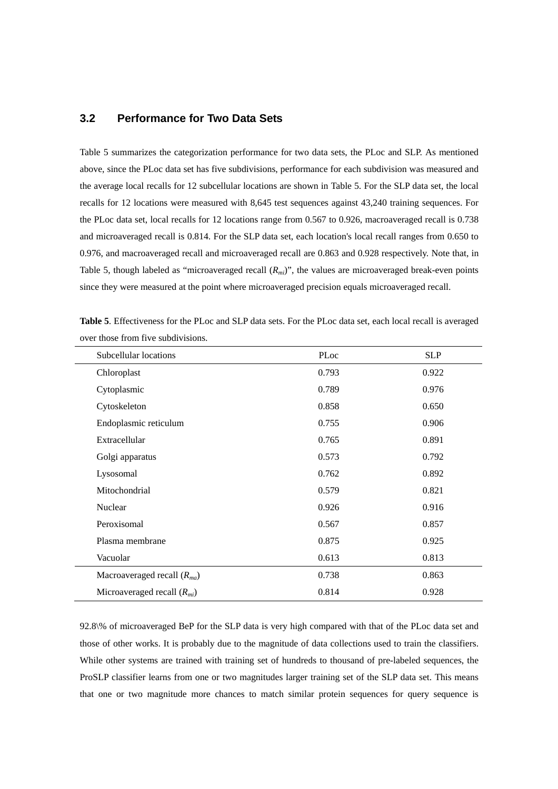### **3.2 Performance for Two Data Sets**

Table 5 summarizes the categorization performance for two data sets, the PLoc and SLP. As mentioned above, since the PLoc data set has five subdivisions, performance for each subdivision was measured and the average local recalls for 12 subcellular locations are shown in Table 5. For the SLP data set, the local recalls for 12 locations were measured with 8,645 test sequences against 43,240 training sequences. For the PLoc data set, local recalls for 12 locations range from 0.567 to 0.926, macroaveraged recall is 0.738 and microaveraged recall is 0.814. For the SLP data set, each location's local recall ranges from 0.650 to 0.976, and macroaveraged recall and microaveraged recall are 0.863 and 0.928 respectively. Note that, in Table 5, though labeled as "microaveraged recall  $(R_{mi})$ ", the values are microaveraged break-even points since they were measured at the point where microaveraged precision equals microaveraged recall.

| Subcellular locations           | PLoc  | <b>SLP</b> |
|---------------------------------|-------|------------|
| Chloroplast                     | 0.793 | 0.922      |
| Cytoplasmic                     | 0.789 | 0.976      |
| Cytoskeleton                    | 0.858 | 0.650      |
| Endoplasmic reticulum           | 0.755 | 0.906      |
| Extracellular                   | 0.765 | 0.891      |
| Golgi apparatus                 | 0.573 | 0.792      |
| Lysosomal                       | 0.762 | 0.892      |
| Mitochondrial                   | 0.579 | 0.821      |
| Nuclear                         | 0.926 | 0.916      |
| Peroxisomal                     | 0.567 | 0.857      |
| Plasma membrane                 | 0.875 | 0.925      |
| Vacuolar                        | 0.613 | 0.813      |
| Macroaveraged recall $(R_{ma})$ | 0.738 | 0.863      |
| Microaveraged recall $(R_{mi})$ | 0.814 | 0.928      |

**Table 5**. Effectiveness for the PLoc and SLP data sets. For the PLoc data set, each local recall is averaged over those from five subdivisions.

92.8\% of microaveraged BeP for the SLP data is very high compared with that of the PLoc data set and those of other works. It is probably due to the magnitude of data collections used to train the classifiers. While other systems are trained with training set of hundreds to thousand of pre-labeled sequences, the ProSLP classifier learns from one or two magnitudes larger training set of the SLP data set. This means that one or two magnitude more chances to match similar protein sequences for query sequence is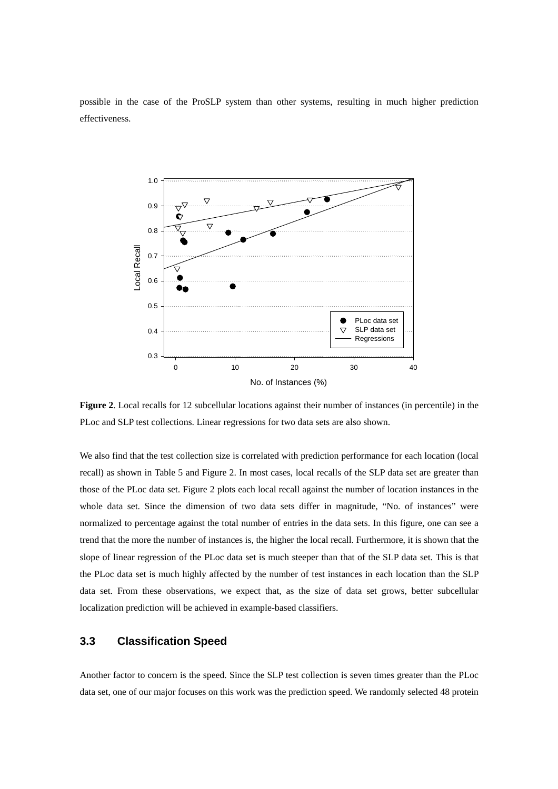possible in the case of the ProSLP system than other systems, resulting in much higher prediction effectiveness.



**Figure 2**. Local recalls for 12 subcellular locations against their number of instances (in percentile) in the PLoc and SLP test collections. Linear regressions for two data sets are also shown.

We also find that the test collection size is correlated with prediction performance for each location (local recall) as shown in Table 5 and Figure 2. In most cases, local recalls of the SLP data set are greater than those of the PLoc data set. Figure 2 plots each local recall against the number of location instances in the whole data set. Since the dimension of two data sets differ in magnitude, "No. of instances" were normalized to percentage against the total number of entries in the data sets. In this figure, one can see a trend that the more the number of instances is, the higher the local recall. Furthermore, it is shown that the slope of linear regression of the PLoc data set is much steeper than that of the SLP data set. This is that the PLoc data set is much highly affected by the number of test instances in each location than the SLP data set. From these observations, we expect that, as the size of data set grows, better subcellular localization prediction will be achieved in example-based classifiers.

# **3.3 Classification Speed**

Another factor to concern is the speed. Since the SLP test collection is seven times greater than the PLoc data set, one of our major focuses on this work was the prediction speed. We randomly selected 48 protein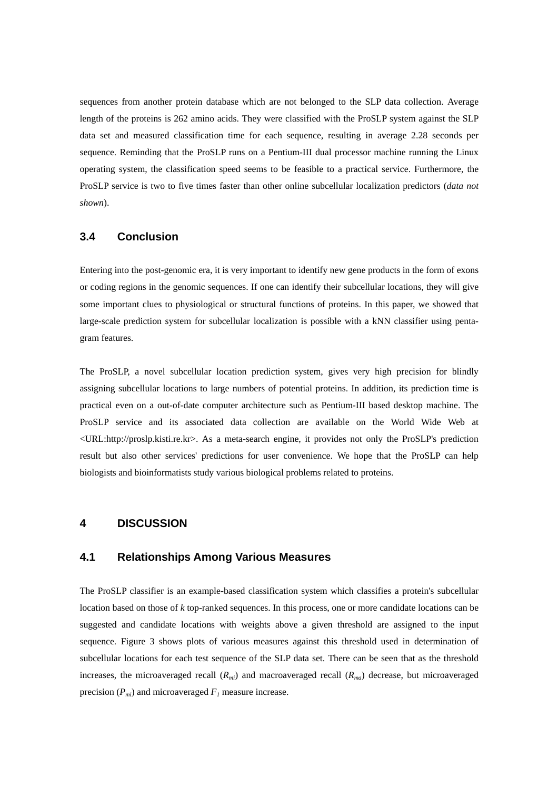sequences from another protein database which are not belonged to the SLP data collection. Average length of the proteins is 262 amino acids. They were classified with the ProSLP system against the SLP data set and measured classification time for each sequence, resulting in average 2.28 seconds per sequence. Reminding that the ProSLP runs on a Pentium-III dual processor machine running the Linux operating system, the classification speed seems to be feasible to a practical service. Furthermore, the ProSLP service is two to five times faster than other online subcellular localization predictors (*data not shown*).

### **3.4 Conclusion**

Entering into the post-genomic era, it is very important to identify new gene products in the form of exons or coding regions in the genomic sequences. If one can identify their subcellular locations, they will give some important clues to physiological or structural functions of proteins. In this paper, we showed that large-scale prediction system for subcellular localization is possible with a kNN classifier using pentagram features.

The ProSLP, a novel subcellular location prediction system, gives very high precision for blindly assigning subcellular locations to large numbers of potential proteins. In addition, its prediction time is practical even on a out-of-date computer architecture such as Pentium-III based desktop machine. The ProSLP service and its associated data collection are available on the World Wide Web at <URL:http://proslp.kisti.re.kr>. As a meta-search engine, it provides not only the ProSLP's prediction result but also other services' predictions for user convenience. We hope that the ProSLP can help biologists and bioinformatists study various biological problems related to proteins.

#### **4 DISCUSSION**

#### **4.1 Relationships Among Various Measures**

The ProSLP classifier is an example-based classification system which classifies a protein's subcellular location based on those of *k* top-ranked sequences. In this process, one or more candidate locations can be suggested and candidate locations with weights above a given threshold are assigned to the input sequence. Figure 3 shows plots of various measures against this threshold used in determination of subcellular locations for each test sequence of the SLP data set. There can be seen that as the threshold increases, the microaveraged recall  $(R_{mi})$  and macroaveraged recall  $(R_{mi})$  decrease, but microaveraged precision  $(P_{mi})$  and microaveraged  $F_l$  measure increase.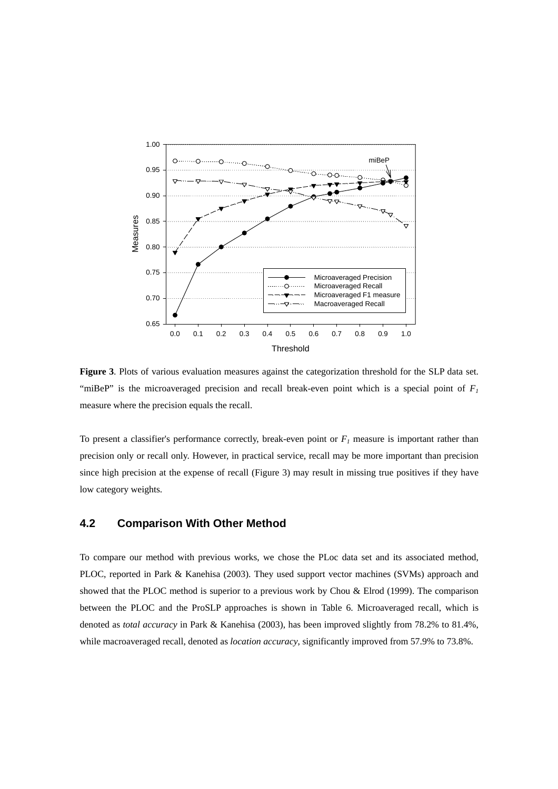

**Figure 3**. Plots of various evaluation measures against the categorization threshold for the SLP data set. "miBeP" is the microaveraged precision and recall break-even point which is a special point of  $F_1$ measure where the precision equals the recall.

To present a classifier's performance correctly, break-even point or  $F_l$  measure is important rather than precision only or recall only. However, in practical service, recall may be more important than precision since high precision at the expense of recall (Figure 3) may result in missing true positives if they have low category weights.

### **4.2 Comparison With Other Method**

To compare our method with previous works, we chose the PLoc data set and its associated method, PLOC, reported in Park & Kanehisa (2003). They used support vector machines (SVMs) approach and showed that the PLOC method is superior to a previous work by Chou & Elrod (1999). The comparison between the PLOC and the ProSLP approaches is shown in Table 6. Microaveraged recall, which is denoted as *total accuracy* in Park & Kanehisa (2003), has been improved slightly from 78.2% to 81.4%, while macroaveraged recall, denoted as *location accuracy*, significantly improved from 57.9% to 73.8%.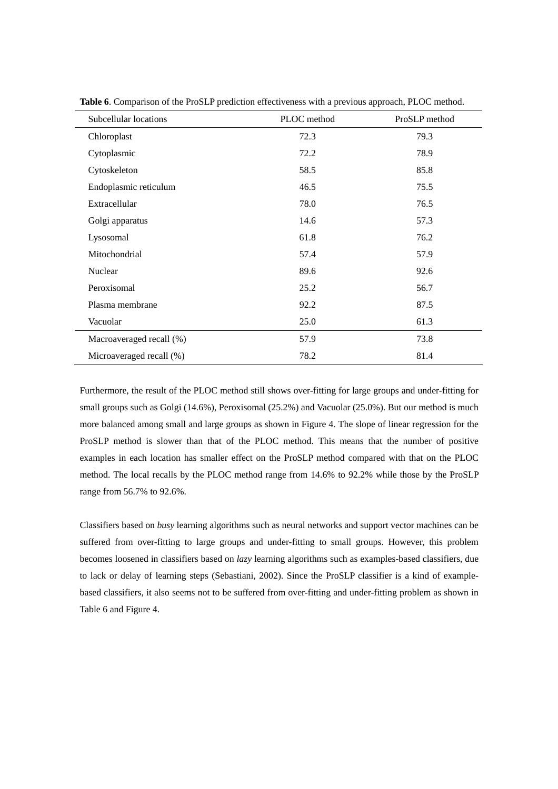| Subcellular locations    | PLOC method | ProSLP method |
|--------------------------|-------------|---------------|
| Chloroplast              | 72.3        | 79.3          |
| Cytoplasmic              | 72.2        | 78.9          |
| Cytoskeleton             | 58.5        | 85.8          |
| Endoplasmic reticulum    | 46.5        | 75.5          |
| Extracellular            | 78.0        | 76.5          |
| Golgi apparatus          | 14.6        | 57.3          |
| Lysosomal                | 61.8        | 76.2          |
| Mitochondrial            | 57.4        | 57.9          |
| Nuclear                  | 89.6        | 92.6          |
| Peroxisomal              | 25.2        | 56.7          |
| Plasma membrane          | 92.2        | 87.5          |
| Vacuolar                 | 25.0        | 61.3          |
| Macroaveraged recall (%) | 57.9        | 73.8          |
| Microaveraged recall (%) | 78.2        | 81.4          |

**Table 6**. Comparison of the ProSLP prediction effectiveness with a previous approach, PLOC method.

Furthermore, the result of the PLOC method still shows over-fitting for large groups and under-fitting for small groups such as Golgi (14.6%), Peroxisomal (25.2%) and Vacuolar (25.0%). But our method is much more balanced among small and large groups as shown in Figure 4. The slope of linear regression for the ProSLP method is slower than that of the PLOC method. This means that the number of positive examples in each location has smaller effect on the ProSLP method compared with that on the PLOC method. The local recalls by the PLOC method range from 14.6% to 92.2% while those by the ProSLP range from 56.7% to 92.6%.

Classifiers based on *busy* learning algorithms such as neural networks and support vector machines can be suffered from over-fitting to large groups and under-fitting to small groups. However, this problem becomes loosened in classifiers based on *lazy* learning algorithms such as examples-based classifiers, due to lack or delay of learning steps (Sebastiani, 2002). Since the ProSLP classifier is a kind of examplebased classifiers, it also seems not to be suffered from over-fitting and under-fitting problem as shown in Table 6 and Figure 4.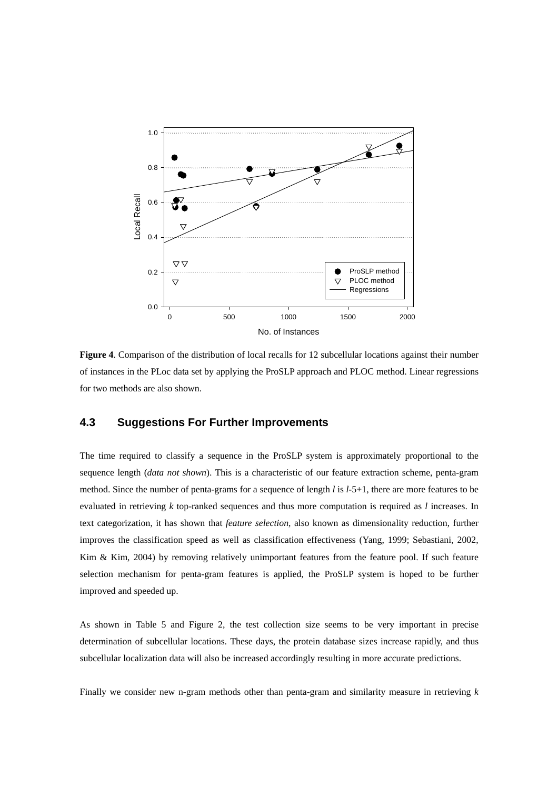

**Figure 4**. Comparison of the distribution of local recalls for 12 subcellular locations against their number of instances in the PLoc data set by applying the ProSLP approach and PLOC method. Linear regressions for two methods are also shown.

### **4.3 Suggestions For Further Improvements**

The time required to classify a sequence in the ProSLP system is approximately proportional to the sequence length (*data not shown*). This is a characteristic of our feature extraction scheme, penta-gram method. Since the number of penta-grams for a sequence of length *l* is *l*-5+1, there are more features to be evaluated in retrieving *k* top-ranked sequences and thus more computation is required as *l* increases. In text categorization, it has shown that *feature selection*, also known as dimensionality reduction, further improves the classification speed as well as classification effectiveness (Yang, 1999; Sebastiani, 2002, Kim & Kim, 2004) by removing relatively unimportant features from the feature pool. If such feature selection mechanism for penta-gram features is applied, the ProSLP system is hoped to be further improved and speeded up.

As shown in Table 5 and Figure 2, the test collection size seems to be very important in precise determination of subcellular locations. These days, the protein database sizes increase rapidly, and thus subcellular localization data will also be increased accordingly resulting in more accurate predictions.

Finally we consider new n-gram methods other than penta-gram and similarity measure in retrieving *k*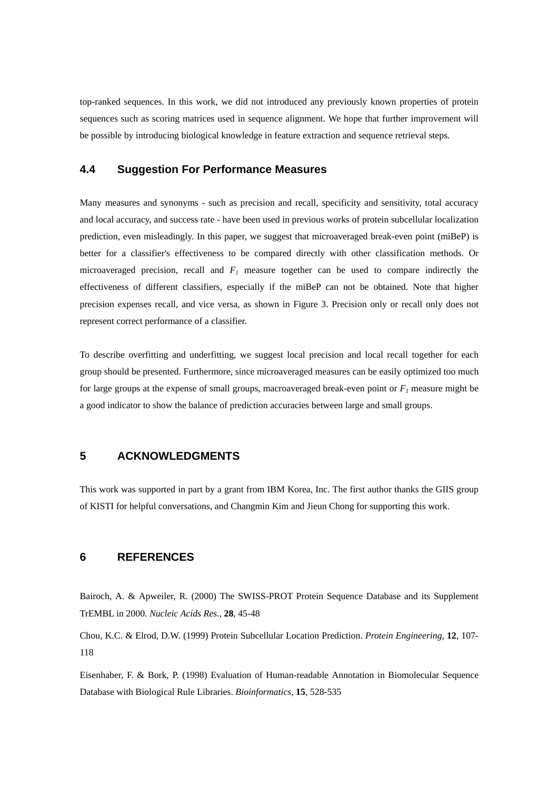top-ranked sequences. In this work, we did not introduced any previously known properties of protein sequences such as scoring matrices used in sequence alignment. We hope that further improvement will be possible by introducing biological knowledge in feature extraction and sequence retrieval steps.

### **4.4 Suggestion For Performance Measures**

Many measures and synonyms - such as precision and recall, specificity and sensitivity, total accuracy and local accuracy, and success rate - have been used in previous works of protein subcellular localization prediction, even misleadingly. In this paper, we suggest that microaveraged break-even point (miBeP) is better for a classifier's effectiveness to be compared directly with other classification methods. Or microaveraged precision, recall and  $F_I$  measure together can be used to compare indirectly the effectiveness of different classifiers, especially if the miBeP can not be obtained. Note that higher precision expenses recall, and vice versa, as shown in Figure 3. Precision only or recall only does not represent correct performance of a classifier.

To describe overfitting and underfitting, we suggest local precision and local recall together for each group should be presented. Furthermore, since microaveraged measures can be easily optimized too much for large groups at the expense of small groups, macroaveraged break-even point or  $F_l$  measure might be a good indicator to show the balance of prediction accuracies between large and small groups.

## **5 ACKNOWLEDGMENTS**

This work was supported in part by a grant from IBM Korea, Inc. The first author thanks the GIIS group of KISTI for helpful conversations, and Changmin Kim and Jieun Chong for supporting this work.

### **6 REFERENCES**

Bairoch, A. & Apweiler, R. (2000) The SWISS-PROT Protein Sequence Database and its Supplement TrEMBL in 2000. *Nucleic Acids Res.*, **28**, 45-48

Chou, K.C. & Elrod, D.W. (1999) Protein Subcellular Location Prediction. *Protein Engineering*, **12**, 107- 118

Eisenhaber, F. & Bork, P. (1998) Evaluation of Human-readable Annotation in Biomolecular Sequence Database with Biological Rule Libraries. *Bioinformatics*, **15**, 528-535